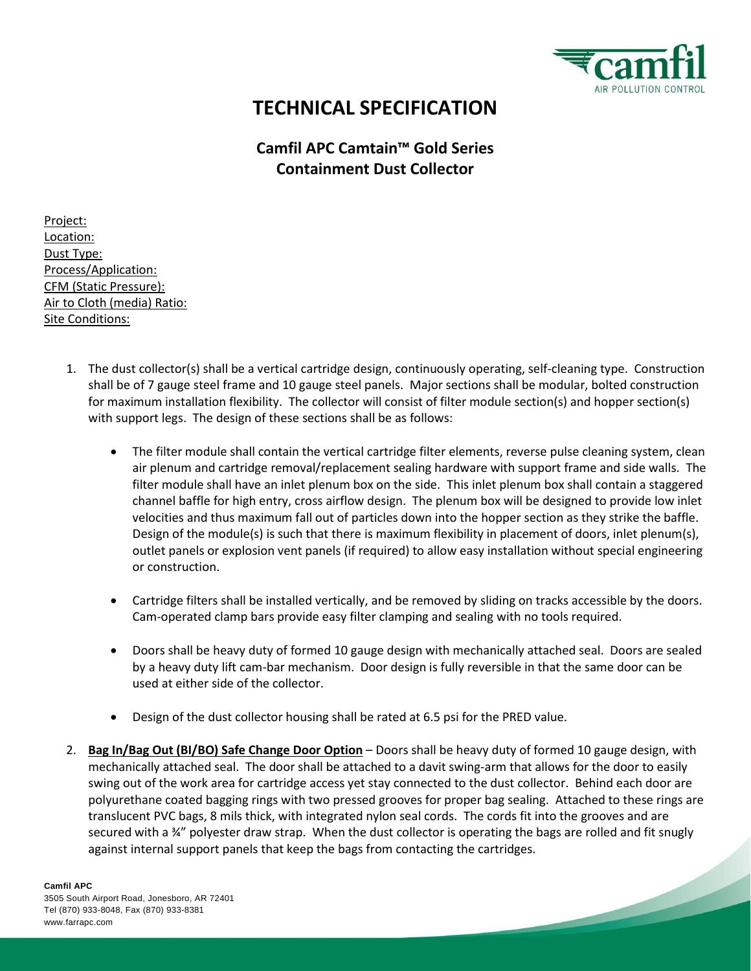

**Contract Contract Contract Contract Contract Contract Contract Contract Contract Contract Contract Contract Contract Contract Contract Contract Contract Contract Contract Contract Contract Contract Contract Contract Contr** 

## **TECHNICAL SPECIFICATION**

## **Camfil APC Camtain™ Gold Series Containment Dust Collector**

Project: Location: Dust Type: Process/Application: CFM (Static Pressure): Air to Cloth (media) Ratio: Site Conditions:

- 1. The dust collector(s) shall be a vertical cartridge design, continuously operating, self-cleaning type. Construction shall be of 7 gauge steel frame and 10 gauge steel panels. Major sections shall be modular, bolted construction for maximum installation flexibility. The collector will consist of filter module section(s) and hopper section(s) with support legs. The design of these sections shall be as follows:
	- The filter module shall contain the vertical cartridge filter elements, reverse pulse cleaning system, clean air plenum and cartridge removal/replacement sealing hardware with support frame and side walls. The filter module shall have an inlet plenum box on the side. This inlet plenum box shall contain a staggered channel baffle for high entry, cross airflow design. The plenum box will be designed to provide low inlet velocities and thus maximum fall out of particles down into the hopper section as they strike the baffle. Design of the module(s) is such that there is maximum flexibility in placement of doors, inlet plenum(s), outlet panels or explosion vent panels (if required) to allow easy installation without special engineering or construction.
	- Cartridge filters shall be installed vertically, and be removed by sliding on tracks accessible by the doors. Cam-operated clamp bars provide easy filter clamping and sealing with no tools required.
	- Doors shall be heavy duty of formed 10 gauge design with mechanically attached seal. Doors are sealed by a heavy duty lift cam-bar mechanism. Door design is fully reversible in that the same door can be used at either side of the collector.
	- Design of the dust collector housing shall be rated at 6.5 psi for the PRED value.
- 2. **Bag In/Bag Out (BI/BO) Safe Change Door Option** Doors shall be heavy duty of formed 10 gauge design, with mechanically attached seal. The door shall be attached to a davit swing-arm that allows for the door to easily swing out of the work area for cartridge access yet stay connected to the dust collector. Behind each door are polyurethane coated bagging rings with two pressed grooves for proper bag sealing. Attached to these rings are translucent PVC bags, 8 mils thick, with integrated nylon seal cords. The cords fit into the grooves and are secured with a ¾" polyester draw strap. When the dust collector is operating the bags are rolled and fit snugly against internal support panels that keep the bags from contacting the cartridges.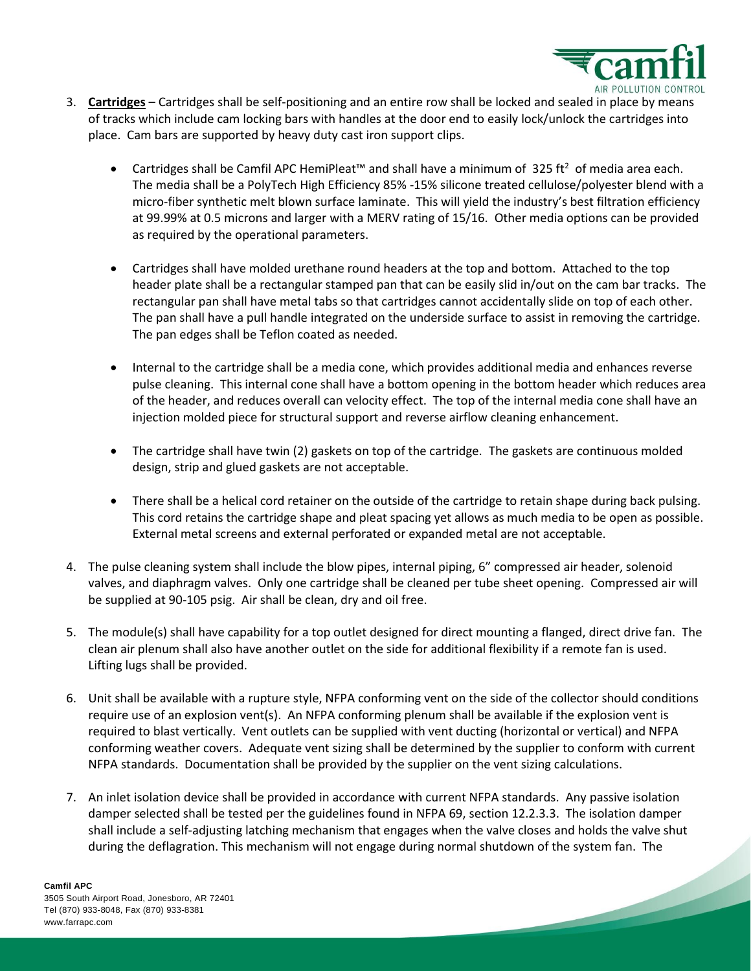

**Contract Contract Contract Contract Contract Contract Contract Contract Contract Contract Contract Contract C** 

- 3. **Cartridges** Cartridges shall be self-positioning and an entire row shall be locked and sealed in place by means of tracks which include cam locking bars with handles at the door end to easily lock/unlock the cartridges into place. Cam bars are supported by heavy duty cast iron support clips.
	- Cartridges shall be Camfil APC HemiPleat™ and shall have a minimum of 325 ft<sup>2</sup> of media area each. The media shall be a PolyTech High Efficiency 85% -15% silicone treated cellulose/polyester blend with a micro-fiber synthetic melt blown surface laminate. This will yield the industry's best filtration efficiency at 99.99% at 0.5 microns and larger with a MERV rating of 15/16. Other media options can be provided as required by the operational parameters.
	- Cartridges shall have molded urethane round headers at the top and bottom. Attached to the top header plate shall be a rectangular stamped pan that can be easily slid in/out on the cam bar tracks. The rectangular pan shall have metal tabs so that cartridges cannot accidentally slide on top of each other. The pan shall have a pull handle integrated on the underside surface to assist in removing the cartridge. The pan edges shall be Teflon coated as needed.
	- Internal to the cartridge shall be a media cone, which provides additional media and enhances reverse pulse cleaning. This internal cone shall have a bottom opening in the bottom header which reduces area of the header, and reduces overall can velocity effect. The top of the internal media cone shall have an injection molded piece for structural support and reverse airflow cleaning enhancement.
	- The cartridge shall have twin (2) gaskets on top of the cartridge. The gaskets are continuous molded design, strip and glued gaskets are not acceptable.
	- There shall be a helical cord retainer on the outside of the cartridge to retain shape during back pulsing. This cord retains the cartridge shape and pleat spacing yet allows as much media to be open as possible. External metal screens and external perforated or expanded metal are not acceptable.
- 4. The pulse cleaning system shall include the blow pipes, internal piping, 6" compressed air header, solenoid valves, and diaphragm valves. Only one cartridge shall be cleaned per tube sheet opening. Compressed air will be supplied at 90-105 psig. Air shall be clean, dry and oil free.
- 5. The module(s) shall have capability for a top outlet designed for direct mounting a flanged, direct drive fan. The clean air plenum shall also have another outlet on the side for additional flexibility if a remote fan is used. Lifting lugs shall be provided.
- 6. Unit shall be available with a rupture style, NFPA conforming vent on the side of the collector should conditions require use of an explosion vent(s). An NFPA conforming plenum shall be available if the explosion vent is required to blast vertically. Vent outlets can be supplied with vent ducting (horizontal or vertical) and NFPA conforming weather covers. Adequate vent sizing shall be determined by the supplier to conform with current NFPA standards. Documentation shall be provided by the supplier on the vent sizing calculations.
- 7. An inlet isolation device shall be provided in accordance with current NFPA standards. Any passive isolation damper selected shall be tested per the guidelines found in NFPA 69, section 12.2.3.3. The isolation damper shall include a self-adjusting latching mechanism that engages when the valve closes and holds the valve shut during the deflagration. This mechanism will not engage during normal shutdown of the system fan. The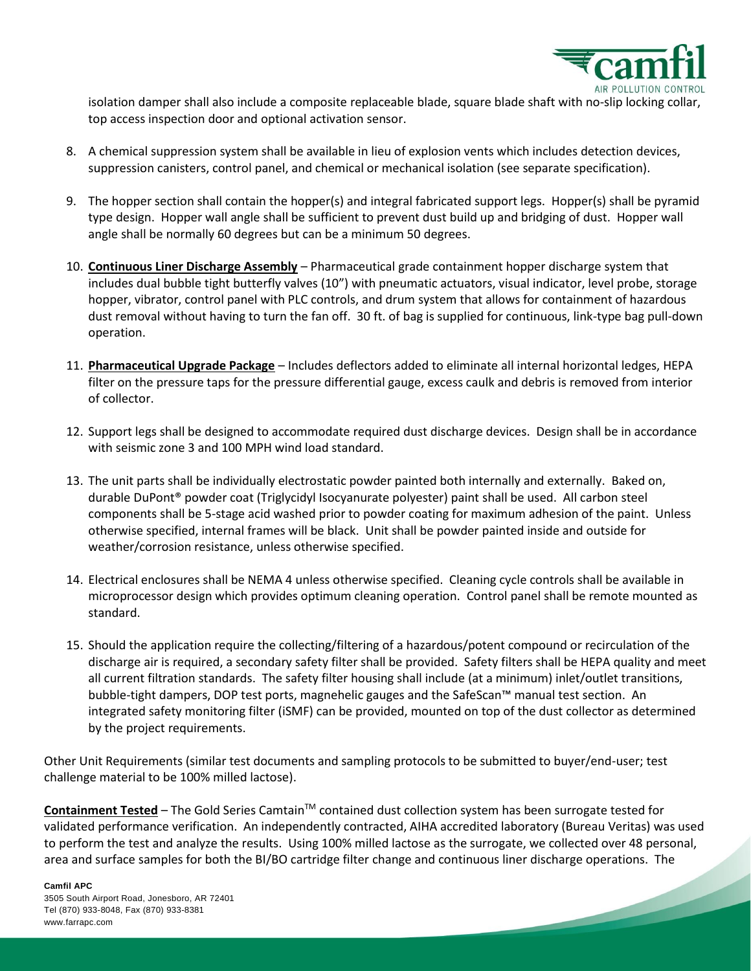

**Contract Contract Contract Contract Contract Contract Contract Contract Contract Contract Contract Contract C** 

isolation damper shall also include a composite replaceable blade, square blade shaft with no-slip locking collar, top access inspection door and optional activation sensor.

- 8. A chemical suppression system shall be available in lieu of explosion vents which includes detection devices, suppression canisters, control panel, and chemical or mechanical isolation (see separate specification).
- 9. The hopper section shall contain the hopper(s) and integral fabricated support legs. Hopper(s) shall be pyramid type design. Hopper wall angle shall be sufficient to prevent dust build up and bridging of dust. Hopper wall angle shall be normally 60 degrees but can be a minimum 50 degrees.
- 10. **Continuous Liner Discharge Assembly** Pharmaceutical grade containment hopper discharge system that includes dual bubble tight butterfly valves (10") with pneumatic actuators, visual indicator, level probe, storage hopper, vibrator, control panel with PLC controls, and drum system that allows for containment of hazardous dust removal without having to turn the fan off. 30 ft. of bag is supplied for continuous, link-type bag pull-down operation.
- 11. **Pharmaceutical Upgrade Package** Includes deflectors added to eliminate all internal horizontal ledges, HEPA filter on the pressure taps for the pressure differential gauge, excess caulk and debris is removed from interior of collector.
- 12. Support legs shall be designed to accommodate required dust discharge devices. Design shall be in accordance with seismic zone 3 and 100 MPH wind load standard.
- 13. The unit parts shall be individually electrostatic powder painted both internally and externally. Baked on, durable DuPont® powder coat (Triglycidyl Isocyanurate polyester) paint shall be used. All carbon steel components shall be 5-stage acid washed prior to powder coating for maximum adhesion of the paint. Unless otherwise specified, internal frames will be black. Unit shall be powder painted inside and outside for weather/corrosion resistance, unless otherwise specified.
- 14. Electrical enclosures shall be NEMA 4 unless otherwise specified. Cleaning cycle controls shall be available in microprocessor design which provides optimum cleaning operation. Control panel shall be remote mounted as standard.
- 15. Should the application require the collecting/filtering of a hazardous/potent compound or recirculation of the discharge air is required, a secondary safety filter shall be provided. Safety filters shall be HEPA quality and meet all current filtration standards. The safety filter housing shall include (at a minimum) inlet/outlet transitions, bubble-tight dampers, DOP test ports, magnehelic gauges and the SafeScan™ manual test section. An integrated safety monitoring filter (iSMF) can be provided, mounted on top of the dust collector as determined by the project requirements.

Other Unit Requirements (similar test documents and sampling protocols to be submitted to buyer/end-user; test challenge material to be 100% milled lactose).

**Containment Tested** – The Gold Series CamtainTM contained dust collection system has been surrogate tested for validated performance verification. An independently contracted, AIHA accredited laboratory (Bureau Veritas) was used to perform the test and analyze the results. Using 100% milled lactose as the surrogate, we collected over 48 personal, area and surface samples for both the BI/BO cartridge filter change and continuous liner discharge operations. The